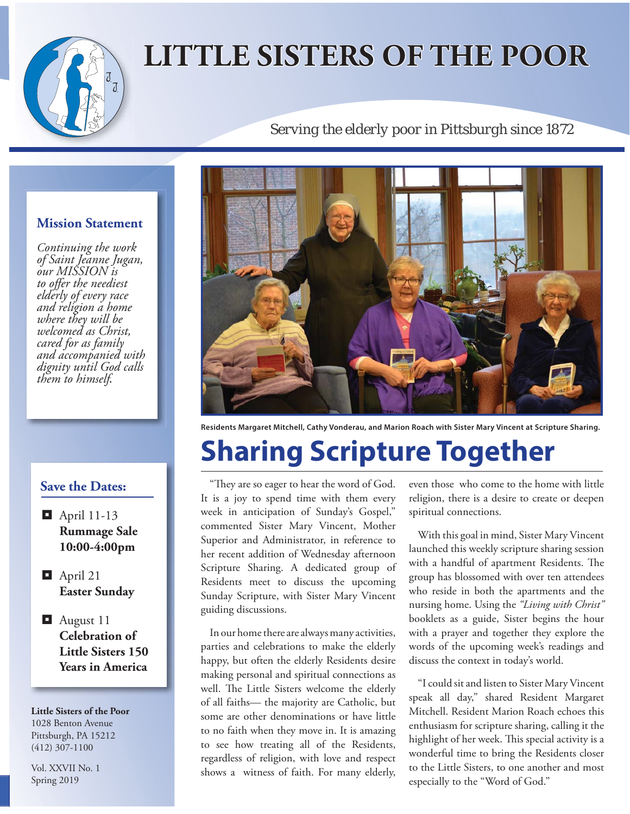# **LITTLE SISTERS OF THE POOR**

### *Serving the elderly poor in Pittsburgh since 1872*

#### **Mission Statement**

*Continuing the work of Saint Jeanne Jugan, our MISSION is*  to offer the neediest *elderly of every race and religion a home where they will be welcomed as Christ, cared for as family and accompanied with dignity until God calls them to himself.*

#### **Save the Dates:**

- $\Box$  April 11-13 **Rummage Sale 10:00-4:00pm**
- $\Box$  April 21 **Easter Sunday**
- August 11 **Celebration of Little Sisters 150 Years in America**

**Little Sisters of the Poor** 1028 Benton Avenue Pittsburgh, PA 15212 (412) 307-1100

Vol. XXVII No. 1 Spring 2019



**Residents Margaret Mitchell, Cathy Vonderau, and Marion Roach with Sister Mary Vincent at Scripture Sharing.**

## **Sharing Scripture Together**

"They are so eager to hear the word of God. It is a joy to spend time with them every week in anticipation of Sunday's Gospel," commented Sister Mary Vincent, Mother Superior and Administrator, in reference to her recent addition of Wednesday afternoon Scripture Sharing. A dedicated group of Residents meet to discuss the upcoming Sunday Scripture, with Sister Mary Vincent guiding discussions.

In our home there are always many activities, parties and celebrations to make the elderly happy, but often the elderly Residents desire making personal and spiritual connections as well. The Little Sisters welcome the elderly of all faiths— the majority are Catholic, but some are other denominations or have little to no faith when they move in. It is amazing to see how treating all of the Residents, regardless of religion, with love and respect shows a witness of faith. For many elderly,

even those who come to the home with little religion, there is a desire to create or deepen spiritual connections.

With this goal in mind, Sister Mary Vincent launched this weekly scripture sharing session with a handful of apartment Residents. The group has blossomed with over ten attendees who reside in both the apartments and the nursing home. Using the *"Living with Christ"* booklets as a guide, Sister begins the hour with a prayer and together they explore the words of the upcoming week's readings and discuss the context in today's world.

"I could sit and listen to Sister Mary Vincent speak all day," shared Resident Margaret Mitchell. Resident Marion Roach echoes this enthusiasm for scripture sharing, calling it the highlight of her week. This special activity is a wonderful time to bring the Residents closer to the Little Sisters, to one another and most especially to the "Word of God."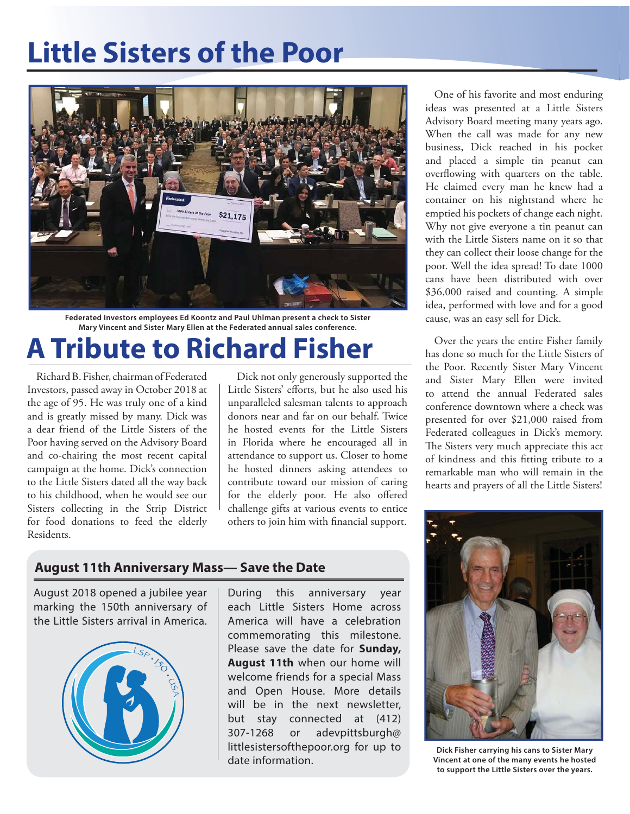## **Little Sisters of the Poor**



**Federated Investors employees Ed Koontz and Paul Uhlman present a check to Sister Mary Vincent and Sister Mary Ellen at the Federated annual sales conference.**

### **A Tribute to Richard Fisher**

Richard B. Fisher, chairman of Federated Investors, passed away in October 2018 at the age of 95. He was truly one of a kind and is greatly missed by many. Dick was a dear friend of the Little Sisters of the Poor having served on the Advisory Board and co-chairing the most recent capital campaign at the home. Dick's connection to the Little Sisters dated all the way back to his childhood, when he would see our Sisters collecting in the Strip District for food donations to feed the elderly Residents.

Dick not only generously supported the Little Sisters' efforts, but he also used his unparalleled salesman talents to approach donors near and far on our behalf. Twice he hosted events for the Little Sisters in Florida where he encouraged all in attendance to support us. Closer to home he hosted dinners asking attendees to contribute toward our mission of caring for the elderly poor. He also offered challenge gifts at various events to entice others to join him with financial support.

**August 11th Anniversary Mass— Save the Date**

August 2018 opened a jubilee year marking the 150th anniversary of the Little Sisters arrival in America.



During this anniversary year each Little Sisters Home across America will have a celebration commemorating this milestone. Please save the date for **Sunday, August 11th** when our home will welcome friends for a special Mass and Open House. More details will be in the next newsletter, but stay connected at (412) 307-1268 or adevpittsburgh@ littlesistersofthepoor.org for up to date information.

One of his favorite and most enduring ideas was presented at a Little Sisters Advisory Board meeting many years ago. When the call was made for any new business, Dick reached in his pocket and placed a simple tin peanut can overflowing with quarters on the table. He claimed every man he knew had a container on his nightstand where he emptied his pockets of change each night. Why not give everyone a tin peanut can with the Little Sisters name on it so that they can collect their loose change for the poor. Well the idea spread! To date 1000 cans have been distributed with over \$36,000 raised and counting. A simple idea, performed with love and for a good cause, was an easy sell for Dick.

Over the years the entire Fisher family has done so much for the Little Sisters of the Poor. Recently Sister Mary Vincent and Sister Mary Ellen were invited to attend the annual Federated sales conference downtown where a check was presented for over \$21,000 raised from Federated colleagues in Dick's memory. The Sisters very much appreciate this act of kindness and this fitting tribute to a remarkable man who will remain in the hearts and prayers of all the Little Sisters!



**Dick Fisher carrying his cans to Sister Mary Vincent at one of the many events he hosted to support the Little Sisters over the years.**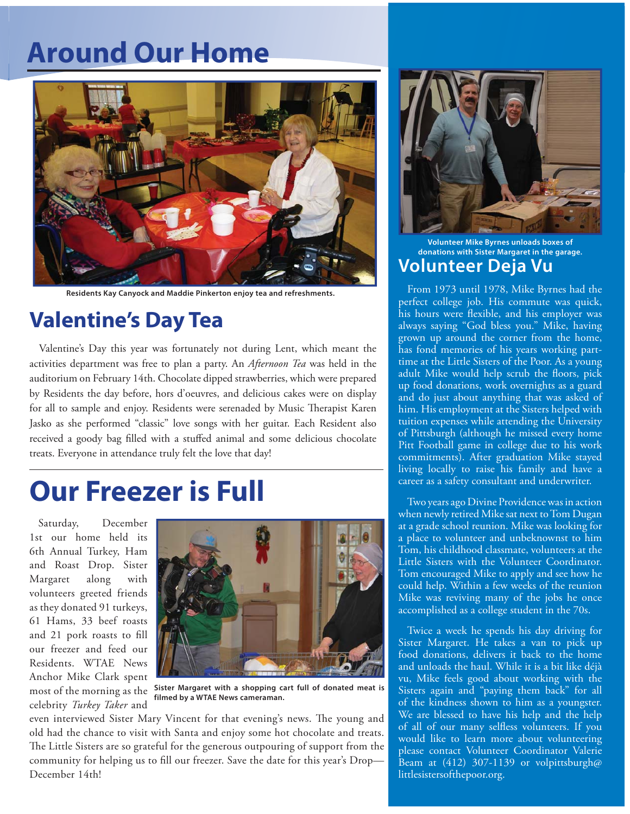### **Around Our Home**



**Residents Kay Canyock and Maddie Pinkerton enjoy tea and refreshments.**

### **Valentine's Day Tea**

Valentine's Day this year was fortunately not during Lent, which meant the activities department was free to plan a party. An *Afternoon Tea* was held in the auditorium on February 14th. Chocolate dipped strawberries, which were prepared by Residents the day before, hors d'oeuvres, and delicious cakes were on display for all to sample and enjoy. Residents were serenaded by Music Therapist Karen Jasko as she performed "classic" love songs with her guitar. Each Resident also received a goody bag filled with a stuffed animal and some delicious chocolate treats. Everyone in attendance truly felt the love that day!

### **Our Freezer is Full**

Saturday, December 1st our home held its 6th Annual Turkey, Ham and Roast Drop. Sister Margaret along with volunteers greeted friends as they donated 91 turkeys, 61 Hams, 33 beef roasts and 21 pork roasts to fill our freezer and feed our Residents. WTAE News Anchor Mike Clark spent celebrity *Turkey Taker* and



most of the morning as the **Sister Margaret with a shopping cart full of donated meat is filmed by a WTAE News cameraman.**

even interviewed Sister Mary Vincent for that evening's news. The young and old had the chance to visit with Santa and enjoy some hot chocolate and treats. The Little Sisters are so grateful for the generous outpouring of support from the community for helping us to fill our freezer. Save the date for this year's Drop-December 14th!



#### **Volunteer Mike Byrnes unloads boxes of donations with Sister Margaret in the garage. Volunteer Deja Vu**

From 1973 until 1978, Mike Byrnes had the perfect college job. His commute was quick, his hours were flexible, and his employer was always saying "God bless you." Mike, having grown up around the corner from the home, has fond memories of his years working parttime at the Little Sisters of the Poor. As a young adult Mike would help scrub the floors, pick up food donations, work overnights as a guard and do just about anything that was asked of him. His employment at the Sisters helped with tuition expenses while attending the University of Pittsburgh (although he missed every home Pitt Football game in college due to his work commitments). After graduation Mike stayed living locally to raise his family and have a career as a safety consultant and underwriter.

Two years ago Divine Providence was in action when newly retired Mike sat next to Tom Dugan at a grade school reunion. Mike was looking for a place to volunteer and unbeknownst to him Tom, his childhood classmate, volunteers at the Little Sisters with the Volunteer Coordinator. Tom encouraged Mike to apply and see how he could help. Within a few weeks of the reunion Mike was reviving many of the jobs he once accomplished as a college student in the 70s.

Twice a week he spends his day driving for Sister Margaret. He takes a van to pick up food donations, delivers it back to the home and unloads the haul. While it is a bit like déjà vu, Mike feels good about working with the Sisters again and "paying them back" for all of the kindness shown to him as a youngster. We are blessed to have his help and the help of all of our many selfless volunteers. If you would like to learn more about volunteering please contact Volunteer Coordinator Valerie Beam at (412) 307-1139 or volpittsburgh@ littlesistersofthepoor.org.